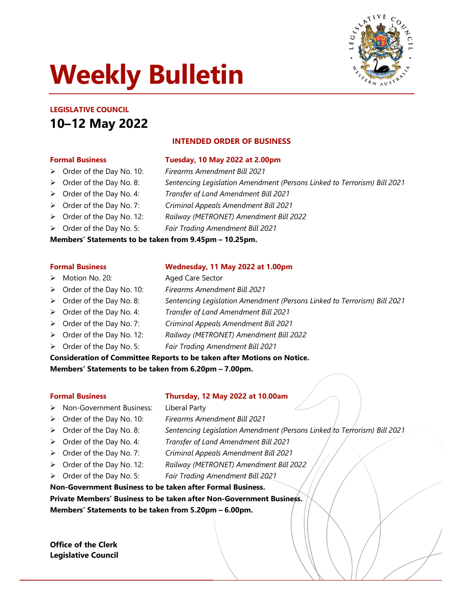# Weekly Bulletin



# LEGISLATIVE COUNCIL 10–12 May 2022

## INTENDED ORDER OF BUSINESS

- Formal Business Tuesday, 10 May 2022 at 2.00pm
- > Order of the Day No. 10: Firearms Amendment Bill 2021
- ▶ Order of the Day No. 8: Sentencing Legislation Amendment (Persons Linked to Terrorism) Bill 2021
- > Order of the Day No. 4: Transfer of Land Amendment Bill 2021
- > Order of the Day No. 7: Criminal Appeals Amendment Bill 2021
- > Order of the Day No. 12: Railway (METRONET) Amendment Bill 2022
- > Order of the Day No. 5: Fair Trading Amendment Bill 2021

#### Members' Statements to be taken from 9.45pm – 10.25pm.

- > Motion No. 20: Aged Care Sector
- > Order of the Day No. 10: Firearms Amendment Bill 2021
- ▶ Order of the Day No. 8: Sentencing Legislation Amendment (Persons Linked to Terrorism) Bill 2021
- > Order of the Day No. 4: Transfer of Land Amendment Bill 2021
- > Order of the Day No. 7: Criminal Appeals Amendment Bill 2021
- Order of the Day No. 12: Railway (METRONET) Amendment Bill 2022
- > Order of the Day No. 5: Fair Trading Amendment Bill 2021

Consideration of Committee Reports to be taken after Motions on Notice.

Members' Statements to be taken from 6.20pm – 7.00pm.

## Formal Business Thursday, 12 May 2022 at 10.00am

- ▶ Non-Government Business: Liberal Party
- > Order of the Day No. 10: Firearms Amendment Bill 2021
- ▶ Order of the Day No. 8: Sentencing Legislation Amendment (Persons Linked to Terrorism) Bill 2021
- > Order of the Day No. 4: Transfer of Land Amendment Bill 2021
- > Order of the Day No. 7: Criminal Appeals Amendment Bill 2021
- > Order of the Day No. 12: Railway (METRONET) Amendment Bill 2022
- > Order of the Day No. 5: Fair Trading Amendment Bill 2021

Non-Government Business to be taken after Formal Business. Private Members' Business to be taken after Non-Government Business. Members' Statements to be taken from 5.20pm – 6.00pm.

Office of the Clerk Legislative Council

## Formal Business Wednesday, 11 May 2022 at 1.00pm